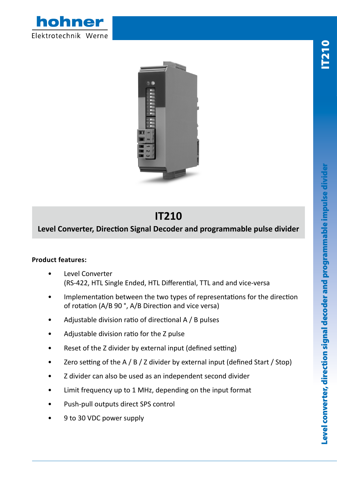



## **IT210**

## **Level Converter, Direction Signal Decoder and programmable pulse divider**

## **Product features:**

- Level Converter (RS-422, HTL Single Ended, HTL Differential, TTL and and vice-versa
- Implementation between the two types of representations for the direction of rotation (A/B 90 °, A/B Direction and vice versa)
- Adjustable division ratio of directional A / B pulses
- Adjustable division ratio for the Z pulse
- Reset of the Z divider by external input (defined setting)
- Zero setting of the A / B / Z divider by external input (defined Start / Stop)
- Z divider can also be used as an independent second divider
- Limit frequency up to 1 MHz, depending on the input format
- Push-pull outputs direct SPS control
- 9 to 30 VDC power supply